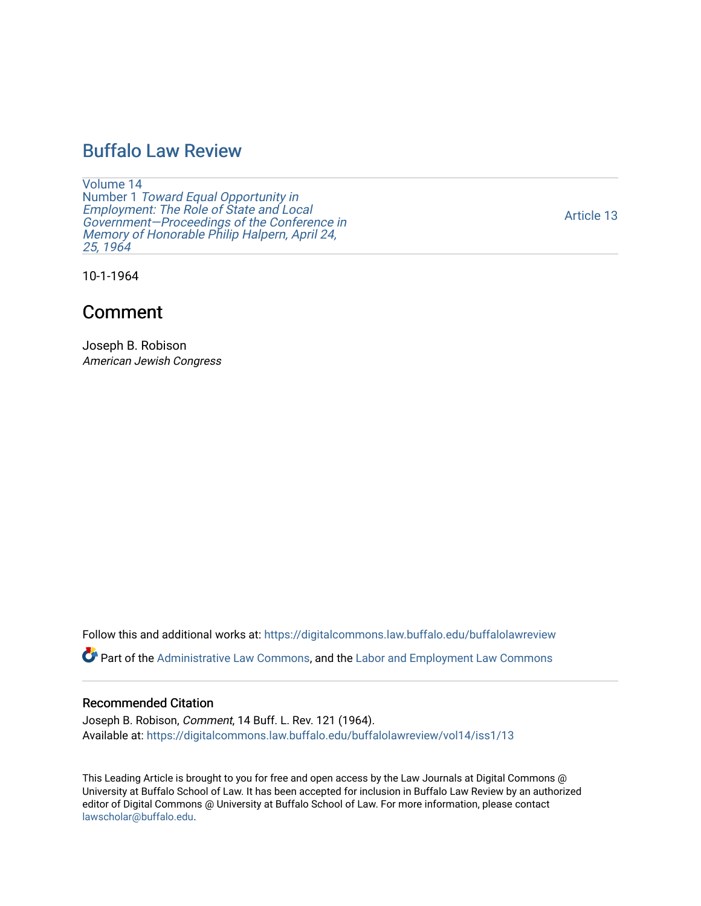# [Buffalo Law Review](https://digitalcommons.law.buffalo.edu/buffalolawreview)

[Volume 14](https://digitalcommons.law.buffalo.edu/buffalolawreview/vol14) Number 1 [Toward Equal Opportunity in](https://digitalcommons.law.buffalo.edu/buffalolawreview/vol14/iss1)  [Employment: The Role of State and Local](https://digitalcommons.law.buffalo.edu/buffalolawreview/vol14/iss1)  [Government—Proceedings of the Conference in](https://digitalcommons.law.buffalo.edu/buffalolawreview/vol14/iss1)  [Memory of Honorable Philip Halpern, April 24,](https://digitalcommons.law.buffalo.edu/buffalolawreview/vol14/iss1)  [25, 1964](https://digitalcommons.law.buffalo.edu/buffalolawreview/vol14/iss1) 

[Article 13](https://digitalcommons.law.buffalo.edu/buffalolawreview/vol14/iss1/13) 

10-1-1964

## Comment

Joseph B. Robison American Jewish Congress

Follow this and additional works at: [https://digitalcommons.law.buffalo.edu/buffalolawreview](https://digitalcommons.law.buffalo.edu/buffalolawreview?utm_source=digitalcommons.law.buffalo.edu%2Fbuffalolawreview%2Fvol14%2Fiss1%2F13&utm_medium=PDF&utm_campaign=PDFCoverPages) 

Part of the [Administrative Law Commons,](http://network.bepress.com/hgg/discipline/579?utm_source=digitalcommons.law.buffalo.edu%2Fbuffalolawreview%2Fvol14%2Fiss1%2F13&utm_medium=PDF&utm_campaign=PDFCoverPages) and the [Labor and Employment Law Commons](http://network.bepress.com/hgg/discipline/909?utm_source=digitalcommons.law.buffalo.edu%2Fbuffalolawreview%2Fvol14%2Fiss1%2F13&utm_medium=PDF&utm_campaign=PDFCoverPages) 

### Recommended Citation

Joseph B. Robison, Comment, 14 Buff. L. Rev. 121 (1964). Available at: [https://digitalcommons.law.buffalo.edu/buffalolawreview/vol14/iss1/13](https://digitalcommons.law.buffalo.edu/buffalolawreview/vol14/iss1/13?utm_source=digitalcommons.law.buffalo.edu%2Fbuffalolawreview%2Fvol14%2Fiss1%2F13&utm_medium=PDF&utm_campaign=PDFCoverPages)

This Leading Article is brought to you for free and open access by the Law Journals at Digital Commons @ University at Buffalo School of Law. It has been accepted for inclusion in Buffalo Law Review by an authorized editor of Digital Commons @ University at Buffalo School of Law. For more information, please contact [lawscholar@buffalo.edu](mailto:lawscholar@buffalo.edu).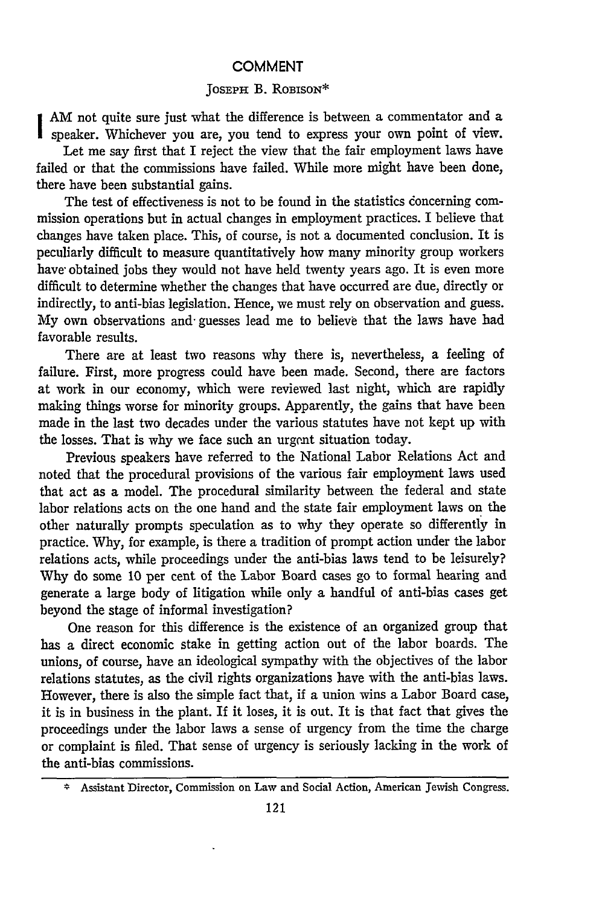#### COMMENT

#### **JOSEPH** B. ROBISON\*

AM not quite sure just what the difference is between a commentator and a speaker. Whichever you are, you tend to express your own point of view.

Let me say first that I reject the view that the fair employment laws have failed or that the commissions have failed. While more might have been done, there have been substantial gains.

The test of effectiveness is not to be found in the statistics concerning commission operations but in actual changes in employment practices. I believe that changes have taken place. This, of course, is not a documented conclusion. It is peculiarly difficult to measure quantitatively how many minority group workers have obtained jobs they would not have held twenty years ago. It is even more difficult to determine whether the changes that have occurred are due, directly or indirectly, to anti-bias legislation. Hence, we must rely on observation and guess. My own observations and- guesses lead me to believe that the laws have had favorable results.

There are at least two reasons why there is, nevertheless, a feeling of failure. First, more progress could have been made. Second, there are factors at work in our economy, which were reviewed last night, which are rapidly making things worse for minority groups. Apparently, the gains that have been made in the last two decades under the various statutes have not kept up with the losses. That is why we face such an urgent situation today.

Previous speakers have referred to the National Labor Relations Act and noted that the procedural provisions of the various fair employment laws used that act as a model. The procedural similarity between the federal and state labor relations acts on the one hand and the state fair employment laws on the other naturally prompts speculation as to why they operate so differently in practice. Why, for example, is there a tradition of prompt action under the labor relations acts, while proceedings under the anti-bias laws tend to be leisurely? **Why** do some 10 per cent of the Labor Board cases go to formal hearing and generate a large body of litigation while only a handful of anti-bias cases get beyond the stage of informal investigation?

One reason for this difference is the existence of an organized group that has a direct economic stake in getting action out of the labor boards. The unions, of course, have an ideological sympathy with the objectives of the labor relations statutes, as the civil rights organizations have with the anti-bias laws. However, there is also the simple fact that, if a union wins a Labor Board case, it is in business in the plant. If it loses, it is out. It is that fact that gives the proceedings under the labor laws a sense of urgency from the time the charge or complaint is filed. That sense of urgency is seriously lacking in the work of the anti-bias commissions.

Assistant Director, Commission on **Law** and Social Action, American Jewish Congress.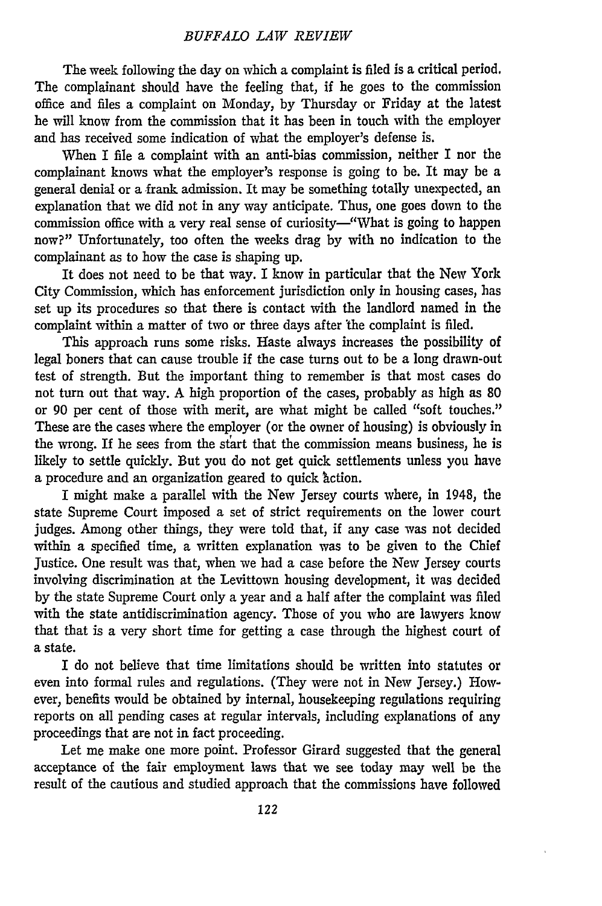The week following the day on which a complaint is filed is a critical period. The complainant should have the feeling that, if he goes to the commission office and files a complaint on Monday, by Thursday or Friday at the latest he will know from the commission that it has been in touch with the employer and has received some indication of what the employer's defense is.

When I file a complaint with an anti-bias commission, neither I nor the complainant knows what the employer's response is going to be. It may be a general denial or a frank admission. It may be something totally unexpected, an explanation that we did not in any way anticipate. Thus, one goes down to the commission office with a very real sense of curiosity—"What is going to happen now?" Unfortunately, too often the weeks drag by with no indication to the complainant as to how the case is shaping up.

It does not need to be that way. I know in particular that the New York City Commission, which has enforcement jurisdiction only in housing cases, has set up its procedures so that there is contact with the landlord named in the complaint within a matter of two or three days after the complaint is filed.

This approach runs some risks. Haste always increases the possibility of legal boners that can cause trouble if the case turns out to be a long drawn-out test of strength. But the important thing to remember is that most cases do not turn out that way. A high proportion of the cases, probably as high as **80** or **90** per cent of those with merit, are what might be called "soft touches." These are the cases where the employer (or the owner of housing) is obviously in the wrong. If he sees from the start that the commission means business, he is likely to settle quickly. But you do not get quick settlements unless you have a procedure and an organization geared to quick action.

I might make a parallel with the New Jersey courts where, in 1948, the state Supreme Court imposed a set of strict requirements on the lower court judges. Among other things, they were told that, if any case was not decided within a specified time, a written explanation was to be given to the Chief Justice. One result was that, when we had a case before the New Jersey courts involving discrimination at the Levittown housing development, it was decided by the state Supreme Court only a year and a half after the complaint was filed with the state antidiscrimination agency. Those of you who are lawyers know that that is a very short time for getting a case through the highest court of a state.

I do not believe that time limitations should be written into statutes or even into formal rules and regulations. (They were not in New Jersey.) However, benefits would be obtained by internal, housekeeping regulations requiring reports on all pending cases at regular intervals, including explanations of any proceedings that are not in fact proceeding.

Let me make one more point. Professor Girard suggested that the general acceptance of the fair employment laws that we see today may well be the result of the cautious and studied approach that the commissions have followed